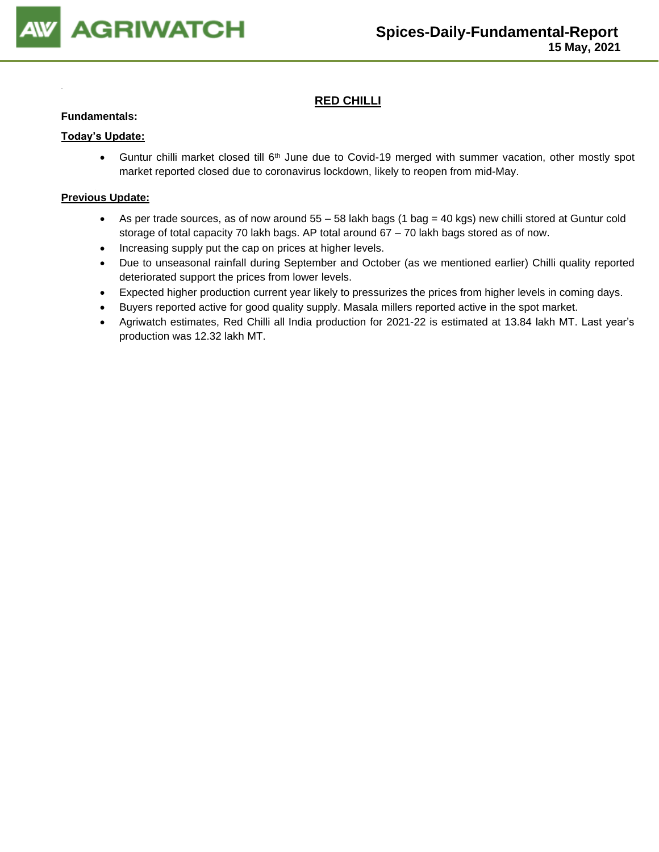

## **RED CHILLI**

#### **Fundamentals:**

#### **Today's Update:**

• Guntur chilli market closed till 6<sup>th</sup> June due to Covid-19 merged with summer vacation, other mostly spot market reported closed due to coronavirus lockdown, likely to reopen from mid-May.

- As per trade sources, as of now around 55 58 lakh bags (1 bag = 40 kgs) new chilli stored at Guntur cold storage of total capacity 70 lakh bags. AP total around 67 – 70 lakh bags stored as of now.
- Increasing supply put the cap on prices at higher levels.
- Due to unseasonal rainfall during September and October (as we mentioned earlier) Chilli quality reported deteriorated support the prices from lower levels.
- Expected higher production current year likely to pressurizes the prices from higher levels in coming days.
- Buyers reported active for good quality supply. Masala millers reported active in the spot market.
- Agriwatch estimates, Red Chilli all India production for 2021-22 is estimated at 13.84 lakh MT. Last year's production was 12.32 lakh MT.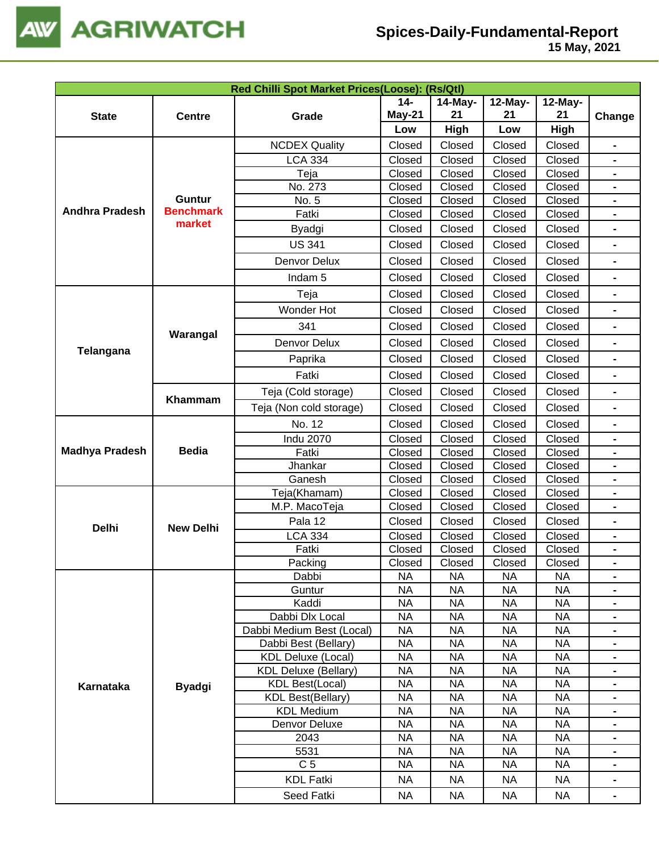

|                       |                  |                             |                 |             | Red Chilli Spot Market Prices(Loose): (Rs/Qtl) |                 |                              |  |  |  |  |  |  |
|-----------------------|------------------|-----------------------------|-----------------|-------------|------------------------------------------------|-----------------|------------------------------|--|--|--|--|--|--|
|                       |                  |                             | $14 -$          | 14-May-     | 12-May-                                        | 12-May-         |                              |  |  |  |  |  |  |
| <b>State</b>          | <b>Centre</b>    | Grade                       | May-21          | 21          | 21                                             | 21              | Change                       |  |  |  |  |  |  |
|                       |                  |                             | Low             | <b>High</b> | Low                                            | High            |                              |  |  |  |  |  |  |
|                       |                  | <b>NCDEX Quality</b>        | Closed          | Closed      | Closed                                         | Closed          | $\qquad \qquad \blacksquare$ |  |  |  |  |  |  |
|                       |                  | <b>LCA 334</b>              | Closed          | Closed      | Closed                                         | Closed          | $\blacksquare$               |  |  |  |  |  |  |
|                       |                  | Teja                        | Closed          | Closed      | Closed                                         | Closed          |                              |  |  |  |  |  |  |
|                       |                  | No. 273                     | Closed          | Closed      | Closed                                         | Closed          |                              |  |  |  |  |  |  |
|                       | <b>Guntur</b>    | No. 5                       | Closed          | Closed      | Closed                                         | Closed          |                              |  |  |  |  |  |  |
| <b>Andhra Pradesh</b> | <b>Benchmark</b> | Fatki                       | Closed          | Closed      | Closed                                         | Closed          | $\blacksquare$               |  |  |  |  |  |  |
|                       | market           | Byadgi                      | Closed          | Closed      | Closed                                         | Closed          |                              |  |  |  |  |  |  |
|                       |                  | <b>US 341</b>               | Closed          | Closed      | Closed                                         | Closed          | $\blacksquare$               |  |  |  |  |  |  |
|                       |                  | Denvor Delux                | Closed          | Closed      | Closed                                         | Closed          | $\blacksquare$               |  |  |  |  |  |  |
|                       |                  | Indam <sub>5</sub>          | Closed          | Closed      | Closed                                         | Closed          |                              |  |  |  |  |  |  |
|                       |                  | Teja                        | Closed          | Closed      | Closed                                         | Closed          | $\blacksquare$               |  |  |  |  |  |  |
|                       |                  | Wonder Hot                  | Closed          | Closed      | Closed                                         | Closed          |                              |  |  |  |  |  |  |
|                       | Warangal         | 341                         | Closed          | Closed      | Closed                                         | Closed          | $\blacksquare$               |  |  |  |  |  |  |
| Telangana             |                  | Denvor Delux                | Closed          | Closed      | Closed                                         | Closed          |                              |  |  |  |  |  |  |
|                       |                  | Paprika                     | Closed          | Closed      | Closed                                         | Closed          | $\blacksquare$               |  |  |  |  |  |  |
|                       |                  | Fatki                       | Closed          | Closed      | Closed                                         | Closed          |                              |  |  |  |  |  |  |
|                       | Khammam          | Teja (Cold storage)         | Closed          | Closed      | Closed                                         | Closed          | $\blacksquare$               |  |  |  |  |  |  |
|                       |                  | Teja (Non cold storage)     | Closed          | Closed      | Closed                                         | Closed          |                              |  |  |  |  |  |  |
|                       |                  | No. 12                      | Closed          | Closed      | Closed                                         | Closed          | $\blacksquare$               |  |  |  |  |  |  |
|                       |                  | <b>Indu 2070</b>            | Closed          | Closed      | Closed                                         | Closed          | $\qquad \qquad \blacksquare$ |  |  |  |  |  |  |
| <b>Madhya Pradesh</b> | <b>Bedia</b>     | Fatki                       | Closed          | Closed      | Closed                                         | Closed          | $\blacksquare$               |  |  |  |  |  |  |
|                       |                  | Jhankar                     | Closed          | Closed      | Closed                                         | Closed          |                              |  |  |  |  |  |  |
|                       |                  | Ganesh                      | Closed          | Closed      | Closed                                         | Closed          |                              |  |  |  |  |  |  |
|                       |                  | Teja(Khamam)                | Closed          | Closed      | Closed                                         | Closed          |                              |  |  |  |  |  |  |
|                       |                  | M.P. MacoTeja               | Closed          | Closed      | Closed                                         | Closed          |                              |  |  |  |  |  |  |
| <b>Delhi</b>          | <b>New Delhi</b> | Pala 12                     | Closed          | Closed      | Closed                                         | Closed          | $\blacksquare$               |  |  |  |  |  |  |
|                       |                  | <b>LCA 334</b>              | Closed          | Closed      | Closed                                         | Closed          |                              |  |  |  |  |  |  |
|                       |                  | Fatki                       | Closed          | Closed      | Closed                                         | Closed          | $\blacksquare$               |  |  |  |  |  |  |
|                       |                  | Packing                     | Closed          | Closed      | Closed                                         | Closed          |                              |  |  |  |  |  |  |
|                       |                  | Dabbi<br>Guntur             | <b>NA</b><br>NA | NA<br>NA    | <b>NA</b><br><b>NA</b>                         | <b>NA</b><br>NA | $\blacksquare$               |  |  |  |  |  |  |
|                       |                  | Kaddi                       | <b>NA</b>       | <b>NA</b>   | <b>NA</b>                                      | <b>NA</b>       |                              |  |  |  |  |  |  |
|                       |                  | Dabbi Dlx Local             | <b>NA</b>       | <b>NA</b>   | <b>NA</b>                                      | <b>NA</b>       | $\blacksquare$               |  |  |  |  |  |  |
|                       |                  | Dabbi Medium Best (Local)   | <b>NA</b>       | <b>NA</b>   | <b>NA</b>                                      | <b>NA</b>       | $\blacksquare$               |  |  |  |  |  |  |
|                       |                  | Dabbi Best (Bellary)        | <b>NA</b>       | <b>NA</b>   | <b>NA</b>                                      | <b>NA</b>       | $\blacksquare$               |  |  |  |  |  |  |
|                       |                  | <b>KDL Deluxe (Local)</b>   | <b>NA</b>       | <b>NA</b>   | <b>NA</b>                                      | <b>NA</b>       | $\blacksquare$               |  |  |  |  |  |  |
|                       |                  | <b>KDL Deluxe (Bellary)</b> | <b>NA</b>       | <b>NA</b>   | <b>NA</b>                                      | <b>NA</b>       |                              |  |  |  |  |  |  |
| Karnataka             | <b>Byadgi</b>    | <b>KDL Best(Local)</b>      | <b>NA</b>       | <b>NA</b>   | <b>NA</b>                                      | <b>NA</b>       |                              |  |  |  |  |  |  |
|                       |                  | <b>KDL Best(Bellary)</b>    | <b>NA</b>       | <b>NA</b>   | <b>NA</b>                                      | <b>NA</b>       |                              |  |  |  |  |  |  |
|                       |                  | <b>KDL Medium</b>           | <b>NA</b>       | <b>NA</b>   | <b>NA</b>                                      | <b>NA</b>       |                              |  |  |  |  |  |  |
|                       |                  | Denvor Deluxe               | <b>NA</b>       | <b>NA</b>   | <b>NA</b>                                      | <b>NA</b>       |                              |  |  |  |  |  |  |
|                       |                  | 2043                        | <b>NA</b>       | <b>NA</b>   | <b>NA</b>                                      | <b>NA</b>       |                              |  |  |  |  |  |  |
|                       |                  | 5531                        | <b>NA</b>       | <b>NA</b>   | <b>NA</b>                                      | <b>NA</b>       |                              |  |  |  |  |  |  |
|                       |                  | C <sub>5</sub>              | <b>NA</b>       | <b>NA</b>   | <b>NA</b>                                      | <b>NA</b>       |                              |  |  |  |  |  |  |
|                       |                  | <b>KDL Fatki</b>            | <b>NA</b>       | <b>NA</b>   | <b>NA</b>                                      | <b>NA</b>       |                              |  |  |  |  |  |  |
|                       |                  | Seed Fatki                  | NA.             | <b>NA</b>   | <b>NA</b>                                      | <b>NA</b>       |                              |  |  |  |  |  |  |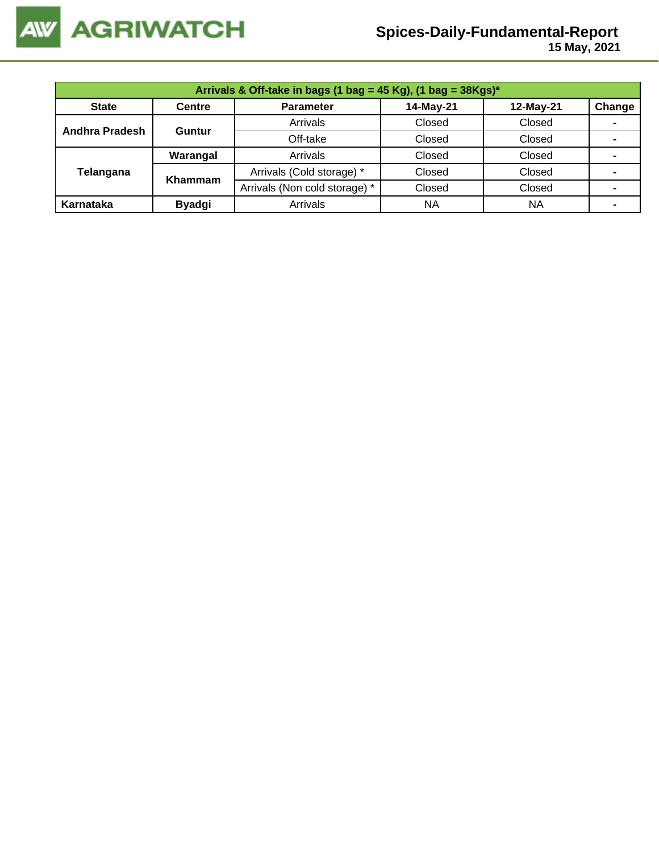

| Arrivals & Off-take in bags (1 bag = 45 Kg), (1 bag = $38Kgs$ )* |               |                               |           |           |        |  |  |  |
|------------------------------------------------------------------|---------------|-------------------------------|-----------|-----------|--------|--|--|--|
| <b>State</b>                                                     | <b>Centre</b> | <b>Parameter</b>              | 14-May-21 | 12-May-21 | Change |  |  |  |
| Andhra Pradesh                                                   | Guntur        | Arrivals                      | Closed    | Closed    | -      |  |  |  |
|                                                                  |               | Off-take                      | Closed    | Closed    |        |  |  |  |
|                                                                  | Warangal      | Arrivals                      | Closed    | Closed    | ۰      |  |  |  |
| Telangana                                                        | Khammam       | Arrivals (Cold storage) *     | Closed    | Closed    | -      |  |  |  |
|                                                                  |               | Arrivals (Non cold storage) * | Closed    | Closed    |        |  |  |  |
| Karnataka                                                        | <b>Byadgi</b> | Arrivals                      | <b>NA</b> | <b>NA</b> |        |  |  |  |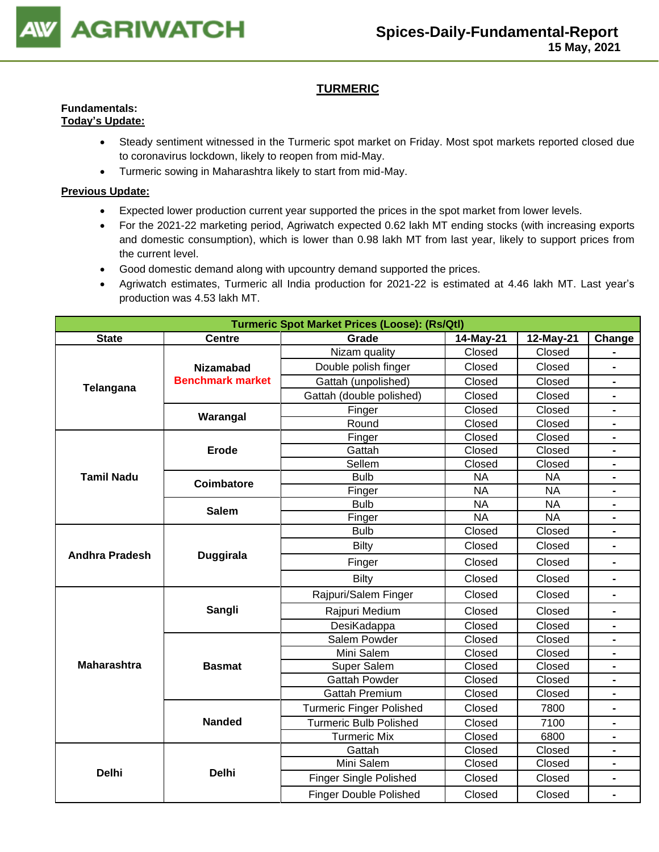

## **TURMERIC**

#### **Fundamentals: Today's Update:**

- Steady sentiment witnessed in the Turmeric spot market on Friday. Most spot markets reported closed due to coronavirus lockdown, likely to reopen from mid-May.
- Turmeric sowing in Maharashtra likely to start from mid-May.

- Expected lower production current year supported the prices in the spot market from lower levels.
- For the 2021-22 marketing period, Agriwatch expected 0.62 lakh MT ending stocks (with increasing exports and domestic consumption), which is lower than 0.98 lakh MT from last year, likely to support prices from the current level.
- Good domestic demand along with upcountry demand supported the prices.
- Agriwatch estimates, Turmeric all India production for 2021-22 is estimated at 4.46 lakh MT. Last year's production was 4.53 lakh MT.

|                       | <b>Turmeric Spot Market Prices (Loose): (Rs/Qtl)</b> |                                 |                 |                 |                          |  |  |
|-----------------------|------------------------------------------------------|---------------------------------|-----------------|-----------------|--------------------------|--|--|
| <b>State</b>          | <b>Centre</b>                                        | Grade                           | 14-May-21       | 12-May-21       | Change                   |  |  |
|                       |                                                      | Nizam quality                   | Closed          | Closed          |                          |  |  |
|                       | <b>Nizamabad</b>                                     | Double polish finger            | Closed          | Closed          | $\overline{\phantom{0}}$ |  |  |
| Telangana             | <b>Benchmark market</b>                              | Gattah (unpolished)             | Closed          | Closed          | $\blacksquare$           |  |  |
|                       |                                                      | Gattah (double polished)        | Closed          | Closed          |                          |  |  |
|                       | Warangal                                             | Finger                          | Closed          | Closed          | $\blacksquare$           |  |  |
|                       |                                                      | Round                           | Closed          | Closed          | -                        |  |  |
|                       |                                                      | Finger                          | Closed          | Closed          | $\overline{\phantom{0}}$ |  |  |
|                       | <b>Erode</b>                                         | Gattah                          | Closed          | Closed          | Ξ.                       |  |  |
|                       |                                                      | Sellem                          | Closed          | Closed          |                          |  |  |
| <b>Tamil Nadu</b>     | <b>Coimbatore</b>                                    | <b>Bulb</b>                     | <b>NA</b>       | <b>NA</b>       |                          |  |  |
|                       |                                                      | Finger                          | <b>NA</b>       | <b>NA</b>       |                          |  |  |
|                       | <b>Salem</b>                                         | <b>Bulb</b>                     | <b>NA</b>       | <b>NA</b>       |                          |  |  |
|                       |                                                      | Finger                          | $\overline{NA}$ | $\overline{NA}$ |                          |  |  |
|                       |                                                      | <b>Bulb</b>                     | Closed          | Closed          | Ξ.                       |  |  |
| <b>Andhra Pradesh</b> | <b>Duggirala</b>                                     | <b>Bilty</b>                    | Closed          | Closed          |                          |  |  |
|                       |                                                      | Finger                          | Closed          | Closed          |                          |  |  |
|                       |                                                      | <b>Bilty</b>                    | Closed          | Closed          |                          |  |  |
|                       |                                                      | Rajpuri/Salem Finger            | Closed          | Closed          | $\blacksquare$           |  |  |
|                       | Sangli                                               | Rajpuri Medium                  | Closed          | Closed          |                          |  |  |
|                       |                                                      | DesiKadappa                     | Closed          | Closed          | -                        |  |  |
|                       |                                                      | Salem Powder                    | Closed          | Closed          | Ξ.                       |  |  |
|                       |                                                      | Mini Salem                      | Closed          | Closed          | Ξ.                       |  |  |
| <b>Maharashtra</b>    | <b>Basmat</b>                                        | Super Salem                     | Closed          | Closed          | Ξ.                       |  |  |
|                       |                                                      | <b>Gattah Powder</b>            | Closed          | Closed          | -                        |  |  |
|                       |                                                      | <b>Gattah Premium</b>           | Closed          | Closed          |                          |  |  |
|                       |                                                      | <b>Turmeric Finger Polished</b> | Closed          | 7800            |                          |  |  |
|                       | <b>Nanded</b>                                        | <b>Turmeric Bulb Polished</b>   | Closed          | 7100            |                          |  |  |
|                       |                                                      | <b>Turmeric Mix</b>             | Closed          | 6800            |                          |  |  |
|                       |                                                      | Gattah                          | Closed          | Closed          |                          |  |  |
| <b>Delhi</b>          | <b>Delhi</b>                                         | Mini Salem                      | Closed          | Closed          | -                        |  |  |
|                       |                                                      | <b>Finger Single Polished</b>   | Closed          | Closed          | $\blacksquare$           |  |  |
|                       |                                                      | <b>Finger Double Polished</b>   | Closed          | Closed          | -                        |  |  |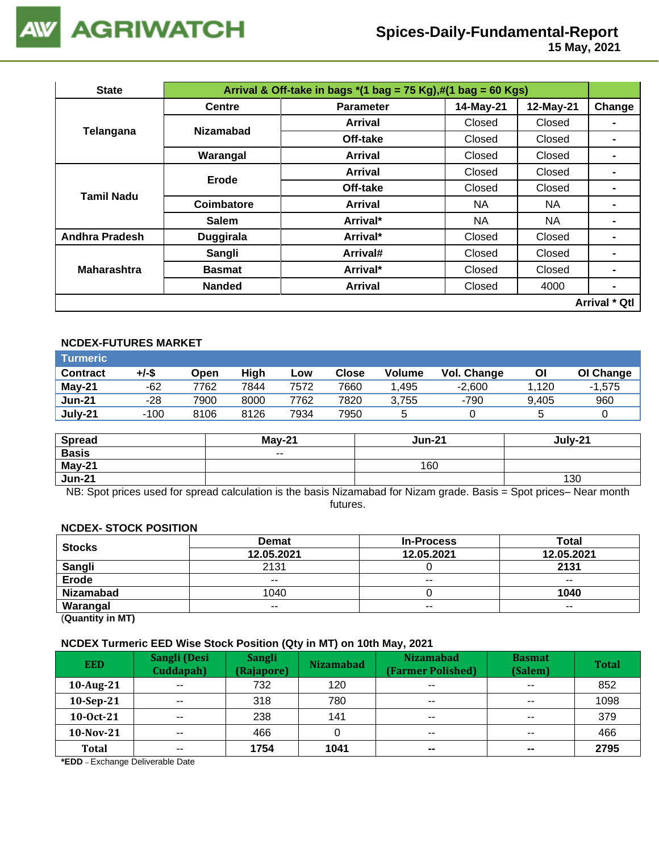

 **15 May, 2021**

| <b>State</b>          |                  | Arrival & Off-take in bags $*(1 \text{ bag} = 75 \text{ Kg}), \#(1 \text{ bag} = 60 \text{ Kg})$ |           |           |                      |  |  |  |  |
|-----------------------|------------------|--------------------------------------------------------------------------------------------------|-----------|-----------|----------------------|--|--|--|--|
|                       | <b>Centre</b>    | <b>Parameter</b>                                                                                 | 14-May-21 | 12-May-21 | Change               |  |  |  |  |
|                       | <b>Nizamabad</b> | <b>Arrival</b>                                                                                   | Closed    | Closed    |                      |  |  |  |  |
| Telangana             |                  | Off-take                                                                                         | Closed    | Closed    |                      |  |  |  |  |
|                       | Warangal         | <b>Arrival</b>                                                                                   | Closed    | Closed    | $\blacksquare$       |  |  |  |  |
|                       | Erode            | <b>Arrival</b>                                                                                   | Closed    | Closed    | $\blacksquare$       |  |  |  |  |
| <b>Tamil Nadu</b>     |                  | Off-take                                                                                         | Closed    | Closed    | -                    |  |  |  |  |
|                       | Coimbatore       | <b>Arrival</b>                                                                                   | NA.       | NA.       | -                    |  |  |  |  |
|                       | <b>Salem</b>     | Arrival*                                                                                         | NA        | <b>NA</b> | ۰                    |  |  |  |  |
| <b>Andhra Pradesh</b> | <b>Duggirala</b> | Arrival*                                                                                         | Closed    | Closed    | -                    |  |  |  |  |
|                       | Sangli           | Arrival#                                                                                         | Closed    | Closed    | -                    |  |  |  |  |
| <b>Maharashtra</b>    | <b>Basmat</b>    | Arrival*                                                                                         | Closed    | Closed    | $\blacksquare$       |  |  |  |  |
|                       | <b>Nanded</b>    | Arrival                                                                                          | Closed    | 4000      | $\blacksquare$       |  |  |  |  |
|                       |                  |                                                                                                  |           |           | <b>Arrival * Qtl</b> |  |  |  |  |

## **NCDEX-FUTURES MARKET**

| Turmeric        |        |      |      |      |       |               |             |       |           |
|-----------------|--------|------|------|------|-------|---------------|-------------|-------|-----------|
| <b>Contract</b> | +/-\$  | Open | High | Low  | Close | <b>Volume</b> | Vol. Change | Οl    | OI Change |
| <b>May-21</b>   | -62    | 7762 | 7844 | 7572 | 7660  | .495          | $-2.600$    | .120  | $-1.575$  |
| <b>Jun-21</b>   | -28    | 7900 | 8000 | 7762 | 7820  | 3.755         | -790        | 9.405 | 960       |
| July-21         | $-100$ | 8106 | 8126 | 7934 | 7950  | ∽             |             |       |           |

| <b>Spread</b> | $Mav-21$ | <b>Jun-21</b> | July-21 |
|---------------|----------|---------------|---------|
| <b>Basis</b>  | $\sim$   |               |         |
| May-21        |          | 160           |         |
| <b>Jun-21</b> |          |               | 130     |

NB: Spot prices used for spread calculation is the basis Nizamabad for Nizam grade. Basis = Spot prices– Near month futures.

#### **NCDEX- STOCK POSITION**

|                                                                                                                                                                                                                                                                                                                                    | <b>Demat</b> | <b>In-Process</b> | <b>Total</b> |
|------------------------------------------------------------------------------------------------------------------------------------------------------------------------------------------------------------------------------------------------------------------------------------------------------------------------------------|--------------|-------------------|--------------|
| <b>Stocks</b>                                                                                                                                                                                                                                                                                                                      | 12.05.2021   | 12.05.2021        | 12.05.2021   |
| Sangli                                                                                                                                                                                                                                                                                                                             | 2131         |                   | 2131         |
| <b>Erode</b>                                                                                                                                                                                                                                                                                                                       | $- -$        | $- -$             | $- -$        |
| <b>Nizamabad</b>                                                                                                                                                                                                                                                                                                                   | 1040         |                   | 1040         |
| Warangal                                                                                                                                                                                                                                                                                                                           | $- -$        | $- -$             | $- -$        |
| $\mathbf{r}$ $\mathbf{r}$ $\mathbf{r}$ $\mathbf{r}$ $\mathbf{r}$ $\mathbf{r}$ $\mathbf{r}$ $\mathbf{r}$ $\mathbf{r}$ $\mathbf{r}$ $\mathbf{r}$ $\mathbf{r}$ $\mathbf{r}$ $\mathbf{r}$ $\mathbf{r}$ $\mathbf{r}$ $\mathbf{r}$ $\mathbf{r}$ $\mathbf{r}$ $\mathbf{r}$ $\mathbf{r}$ $\mathbf{r}$ $\mathbf{r}$ $\mathbf{r}$ $\mathbf{$ |              |                   |              |

(**Quantity in MT)**

#### **NCDEX Turmeric EED Wise Stock Position (Qty in MT) on 10th May, 2021**

| <b>EED</b>   | Sangli (Desi<br>Cuddapah) | <b>Sangli</b><br>(Rajapore) | <b>Nizamabad</b> | <b>Nizamabad</b><br>(Farmer Polished) | <b>Basmat</b><br>(Salem) | <b>Total</b> |
|--------------|---------------------------|-----------------------------|------------------|---------------------------------------|--------------------------|--------------|
| 10-Aug-21    | $\sim$ $\sim$             | 732                         | 120              | $\sim$ $\sim$                         | $\sim$ $\sim$            | 852          |
| $10-Sep-21$  | $- -$                     | 318                         | 780              | $\sim$ $\sim$                         | $\sim$ $\sim$            | 1098         |
| $10-0ct-21$  | $- -$                     | 238                         | 141              | $- -$                                 | $\sim$ $\sim$            | 379          |
| $10$ -Nov-21 | $- -$                     | 466                         |                  | $- -$                                 | $- -$                    | 466          |
| Total        | $- -$                     | 1754                        | 1041             | $\sim$                                | $\sim$                   | 2795         |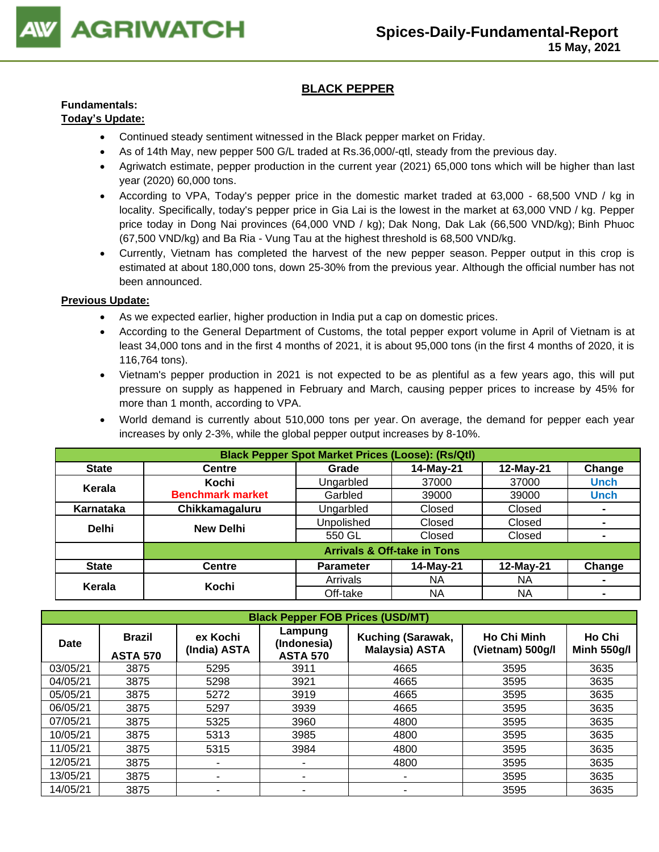

## **BLACK PEPPER**

## **Fundamentals:**

#### **Today's Update:**

- Continued steady sentiment witnessed in the Black pepper market on Friday.
- As of 14th May, new pepper 500 G/L traded at Rs.36,000/-qtl, steady from the previous day.
- Agriwatch estimate, pepper production in the current year (2021) 65,000 tons which will be higher than last year (2020) 60,000 tons.
- According to VPA, Today's pepper price in the domestic market traded at 63,000 68,500 VND / kg in locality. Specifically, today's pepper price in Gia Lai is the lowest in the market at 63,000 VND / kg. Pepper price today in Dong Nai provinces (64,000 VND / kg); Dak Nong, Dak Lak (66,500 VND/kg); Binh Phuoc (67,500 VND/kg) and Ba Ria - Vung Tau at the highest threshold is 68,500 VND/kg.
- Currently, Vietnam has completed the harvest of the new pepper season. Pepper output in this crop is estimated at about 180,000 tons, down 25-30% from the previous year. Although the official number has not been announced.

- As we expected earlier, higher production in India put a cap on domestic prices.
- According to the General Department of Customs, the total pepper export volume in April of Vietnam is at least 34,000 tons and in the first 4 months of 2021, it is about 95,000 tons (in the first 4 months of 2020, it is 116,764 tons).
- Vietnam's pepper production in 2021 is not expected to be as plentiful as a few years ago, this will put pressure on supply as happened in February and March, causing pepper prices to increase by 45% for more than 1 month, according to VPA.
- World demand is currently about 510,000 tons per year. On average, the demand for pepper each year increases by only 2-3%, while the global pepper output increases by 8-10%.

|              | <b>Black Pepper Spot Market Prices (Loose): (Rs/Qtl)</b> |                   |                                        |           |             |  |  |  |
|--------------|----------------------------------------------------------|-------------------|----------------------------------------|-----------|-------------|--|--|--|
| <b>State</b> | <b>Centre</b>                                            | Grade             | 14-May-21                              | 12-May-21 | Change      |  |  |  |
| Kerala       | Kochi                                                    | Ungarbled         | 37000                                  | 37000     | <b>Unch</b> |  |  |  |
|              | <b>Benchmark market</b>                                  | Garbled           | 39000                                  | 39000     | <b>Unch</b> |  |  |  |
| Karnataka    | Chikkamagaluru                                           | Ungarbled         | Closed                                 | Closed    |             |  |  |  |
| <b>Delhi</b> | <b>New Delhi</b>                                         | <b>Unpolished</b> | Closed                                 | Closed    |             |  |  |  |
|              |                                                          | 550 GL            | Closed                                 | Closed    |             |  |  |  |
|              |                                                          |                   | <b>Arrivals &amp; Off-take in Tons</b> |           |             |  |  |  |
| <b>State</b> | <b>Centre</b>                                            | <b>Parameter</b>  | 14-May-21                              | 12-May-21 | Change      |  |  |  |
| Kerala       | Kochi                                                    | Arrivals          | NA                                     | NA.       |             |  |  |  |
|              |                                                          | Off-take          | <b>NA</b>                              | NA.       |             |  |  |  |

| <b>Black Pepper FOB Prices (USD/MT)</b> |                                  |                          |                                           |                                            |                                        |                              |  |  |  |
|-----------------------------------------|----------------------------------|--------------------------|-------------------------------------------|--------------------------------------------|----------------------------------------|------------------------------|--|--|--|
| Date                                    | <b>Brazil</b><br><b>ASTA 570</b> | ex Kochi<br>(India) ASTA | Lampung<br>(Indonesia)<br><b>ASTA 570</b> | Kuching (Sarawak,<br><b>Malaysia) ASTA</b> | <b>Ho Chi Minh</b><br>(Vietnam) 500g/l | Ho Chi<br><b>Minh 550g/l</b> |  |  |  |
| 03/05/21                                | 3875                             | 5295                     | 3911                                      | 4665                                       | 3595                                   | 3635                         |  |  |  |
| 04/05/21                                | 3875                             | 5298                     | 3921                                      | 4665                                       | 3595                                   | 3635                         |  |  |  |
| 05/05/21                                | 3875                             | 5272                     | 3919                                      | 4665                                       | 3595                                   | 3635                         |  |  |  |
| 06/05/21                                | 3875                             | 5297                     | 3939                                      | 4665                                       | 3595                                   | 3635                         |  |  |  |
| 07/05/21                                | 3875                             | 5325                     | 3960                                      | 4800                                       | 3595                                   | 3635                         |  |  |  |
| 10/05/21                                | 3875                             | 5313                     | 3985                                      | 4800                                       | 3595                                   | 3635                         |  |  |  |
| 11/05/21                                | 3875                             | 5315                     | 3984                                      | 4800                                       | 3595                                   | 3635                         |  |  |  |
| 12/05/21                                | 3875                             | ٠                        |                                           | 4800                                       | 3595                                   | 3635                         |  |  |  |
| 13/05/21                                | 3875                             | -                        | -                                         |                                            | 3595                                   | 3635                         |  |  |  |
| 14/05/21                                | 3875                             | -                        |                                           | -                                          | 3595                                   | 3635                         |  |  |  |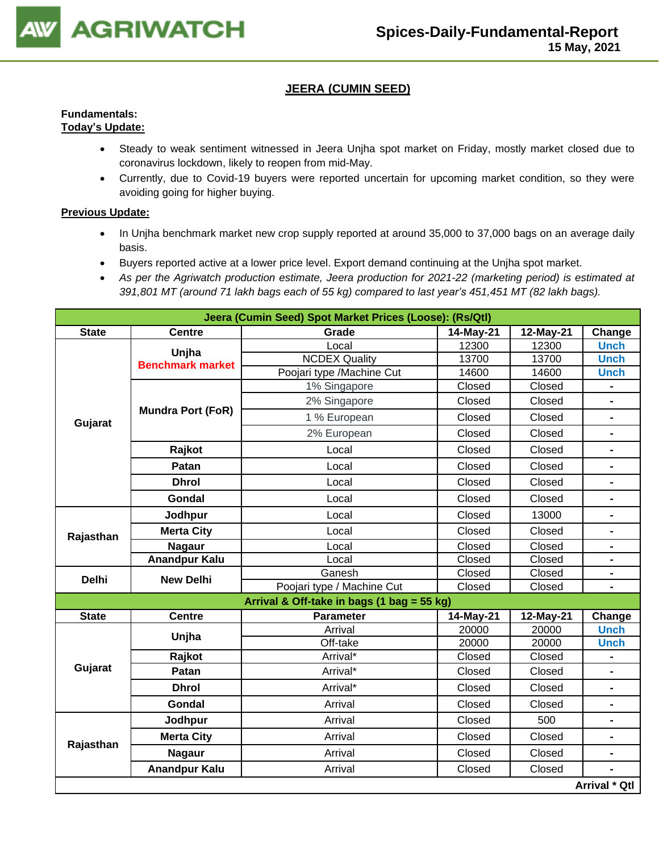

## **JEERA (CUMIN SEED)**

#### **Fundamentals: Today's Update:**

- Steady to weak sentiment witnessed in Jeera Unjha spot market on Friday, mostly market closed due to coronavirus lockdown, likely to reopen from mid-May.
- Currently, due to Covid-19 buyers were reported uncertain for upcoming market condition, so they were avoiding going for higher buying.

- In Unjha benchmark market new crop supply reported at around 35,000 to 37,000 bags on an average daily basis.
- Buyers reported active at a lower price level. Export demand continuing at the Unjha spot market.
- *As per the Agriwatch production estimate, Jeera production for 2021-22 (marketing period) is estimated at 391,801 MT (around 71 lakh bags each of 55 kg) compared to last year's 451,451 MT (82 lakh bags).*

|              |                          | Jeera (Cumin Seed) Spot Market Prices (Loose): (Rs/Qtl) |           |           |                |
|--------------|--------------------------|---------------------------------------------------------|-----------|-----------|----------------|
| <b>State</b> | <b>Centre</b>            | Grade                                                   | 14-May-21 | 12-May-21 | Change         |
|              | Unjha                    | Local                                                   | 12300     | 12300     | <b>Unch</b>    |
|              | <b>Benchmark market</b>  | <b>NCDEX Quality</b>                                    | 13700     | 13700     | <b>Unch</b>    |
|              |                          | Poojari type /Machine Cut                               | 14600     | 14600     | <b>Unch</b>    |
|              |                          | 1% Singapore                                            | Closed    | Closed    |                |
|              | <b>Mundra Port (FoR)</b> | 2% Singapore                                            | Closed    | Closed    |                |
| Gujarat      |                          | 1 % European                                            | Closed    | Closed    | $\blacksquare$ |
|              |                          | 2% European                                             | Closed    | Closed    |                |
|              | Rajkot                   | Local                                                   | Closed    | Closed    | $\blacksquare$ |
|              | Patan                    | Local                                                   | Closed    | Closed    | $\blacksquare$ |
|              | <b>Dhrol</b>             | Local                                                   | Closed    | Closed    | $\blacksquare$ |
|              | <b>Gondal</b>            | Local                                                   | Closed    | Closed    |                |
|              | Jodhpur                  | Local                                                   | Closed    | 13000     | $\blacksquare$ |
| Rajasthan    | <b>Merta City</b>        | Local                                                   | Closed    | Closed    | $\blacksquare$ |
|              | <b>Nagaur</b>            | Local                                                   | Closed    | Closed    | $\blacksquare$ |
|              | <b>Anandpur Kalu</b>     | Local                                                   | Closed    | Closed    | -              |
| <b>Delhi</b> | <b>New Delhi</b>         | Ganesh                                                  | Closed    | Closed    |                |
|              |                          | Poojari type / Machine Cut                              | Closed    | Closed    |                |
|              |                          | Arrival & Off-take in bags (1 bag = 55 kg)              |           |           |                |
| <b>State</b> | <b>Centre</b>            | <b>Parameter</b>                                        | 14-May-21 | 12-May-21 | Change         |
|              | Unjha                    | Arrival                                                 | 20000     | 20000     | <b>Unch</b>    |
|              |                          | Off-take                                                | 20000     | 20000     | <b>Unch</b>    |
| Gujarat      | Rajkot                   | Arrival*                                                | Closed    | Closed    |                |
|              | Patan                    | Arrival*                                                | Closed    | Closed    |                |
|              | <b>Dhrol</b>             | Arrival*                                                | Closed    | Closed    | $\blacksquare$ |
|              | <b>Gondal</b>            | Arrival                                                 | Closed    | Closed    | $\blacksquare$ |
|              | Jodhpur                  | Arrival                                                 | Closed    | 500       | $\blacksquare$ |
| Rajasthan    | <b>Merta City</b>        | Arrival                                                 | Closed    | Closed    | $\blacksquare$ |
|              | <b>Nagaur</b>            | Arrival                                                 | Closed    | Closed    | $\blacksquare$ |
|              | <b>Anandpur Kalu</b>     | Arrival                                                 | Closed    | Closed    |                |
|              |                          |                                                         |           |           | Arrival * Qtl  |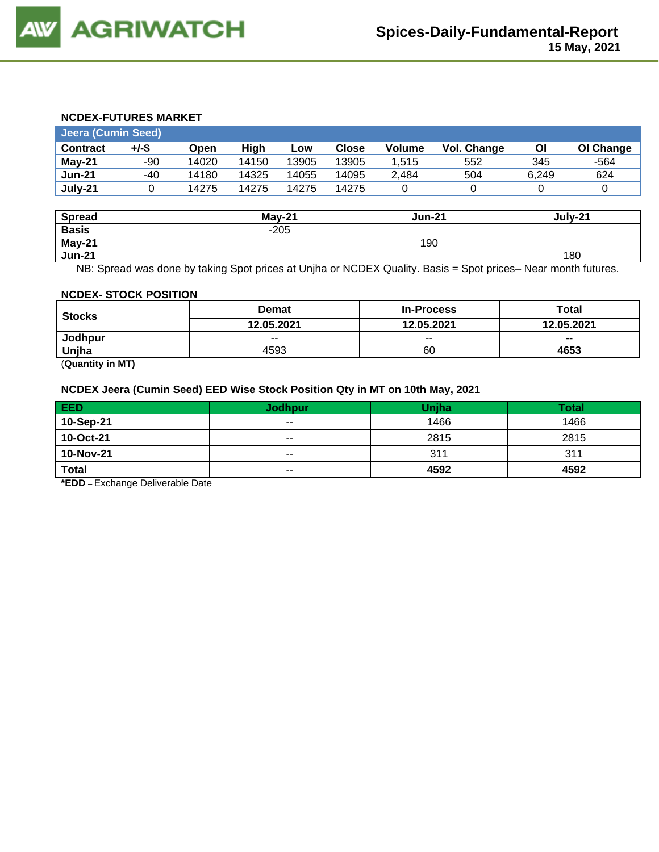#### **NCDEX-FUTURES MARKET**

| Jeera (Cumin Seed) |       |       |       |       |              |        |             |       |           |
|--------------------|-------|-------|-------|-------|--------------|--------|-------------|-------|-----------|
| <b>Contract</b>    | +/-\$ | Open  | Hiah  | Low   | <b>Close</b> | Volume | Vol. Change | Οl    | OI Change |
| May-21             | -90   | 14020 | 14150 | 13905 | 13905        | 1.515  | 552         | 345   | -564      |
| <b>Jun-21</b>      | -40   | 14180 | 14325 | 14055 | 14095        | 2.484  | 504         | 6.249 | 624       |
| July-21            |       | 14275 | 14275 | 14275 | 14275        |        |             |       |           |

| <b>Spread</b> | $May-21$ | <b>Jun-21</b> | July-21 |
|---------------|----------|---------------|---------|
| <b>Basis</b>  | $-205$   |               |         |
| May-21        |          | 190           |         |
| <b>Jun-21</b> |          |               | 180     |

NB: Spread was done by taking Spot prices at Unjha or NCDEX Quality. Basis = Spot prices– Near month futures.

#### **NCDEX- STOCK POSITION**

| <b>Stocks</b> | <b>Demat</b> | <b>In-Process</b> | Total      |
|---------------|--------------|-------------------|------------|
|               | 12.05.2021   | 12.05.2021        | 12.05.2021 |
| Jodhpur       | $- -$        | $- -$             | $- -$      |
| Unjha         | 4593         | 60                | 4653       |
|               |              |                   |            |

(**Quantity in MT)**

#### **NCDEX Jeera (Cumin Seed) EED Wise Stock Position Qty in MT on 10th May, 2021**

| <b>EED</b>   | <b>Jodhpur</b> | <b>Unjha</b> | Total |
|--------------|----------------|--------------|-------|
| 10-Sep-21    | $- -$          | 1466         | 1466  |
| 10-Oct-21    | $- -$          | 2815         | 2815  |
| 10-Nov-21    | $- -$          | 311          | 311   |
| <b>Total</b> | $\sim$ $\sim$  | 4592         | 4592  |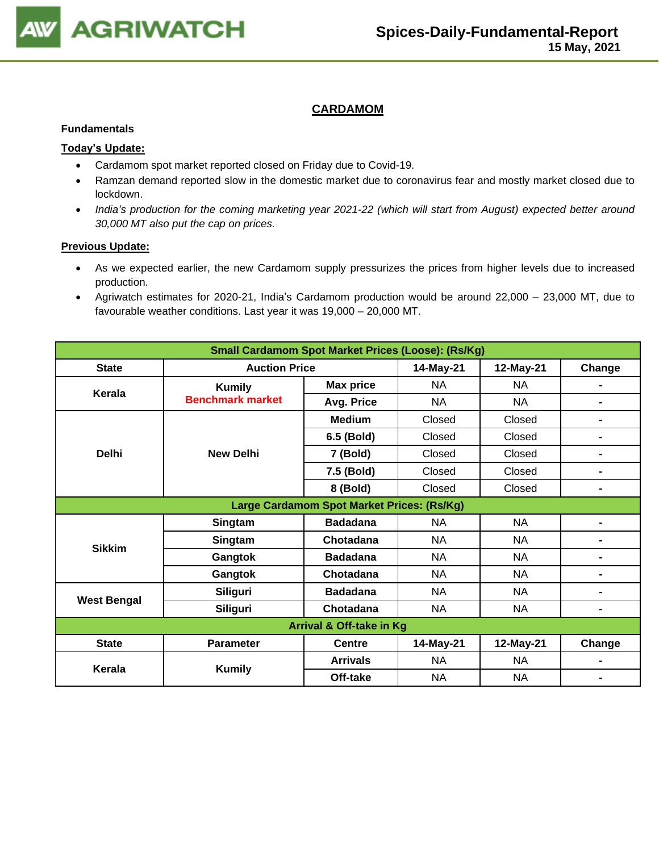

### **CARDAMOM**

#### **Fundamentals**

#### **Today's Update:**

- Cardamom spot market reported closed on Friday due to Covid-19.
- Ramzan demand reported slow in the domestic market due to coronavirus fear and mostly market closed due to lockdown.
- *India's production for the coming marketing year 2021-22 (which will start from August) expected better around 30,000 MT also put the cap on prices.*

- As we expected earlier, the new Cardamom supply pressurizes the prices from higher levels due to increased production.
- Agriwatch estimates for 2020-21, India's Cardamom production would be around 22,000 23,000 MT, due to favourable weather conditions. Last year it was 19,000 – 20,000 MT.

| <b>Small Cardamom Spot Market Prices (Loose): (Rs/Kg)</b> |                         |                                            |           |           |                |  |  |
|-----------------------------------------------------------|-------------------------|--------------------------------------------|-----------|-----------|----------------|--|--|
| <b>State</b>                                              | <b>Auction Price</b>    |                                            | 14-May-21 | 12-May-21 | Change         |  |  |
| Kerala                                                    | <b>Kumily</b>           | <b>Max price</b>                           | <b>NA</b> | <b>NA</b> |                |  |  |
|                                                           | <b>Benchmark market</b> | Avg. Price                                 | <b>NA</b> | <b>NA</b> |                |  |  |
|                                                           |                         | <b>Medium</b>                              | Closed    | Closed    | $\blacksquare$ |  |  |
|                                                           |                         | 6.5 (Bold)                                 | Closed    | Closed    | $\blacksquare$ |  |  |
| <b>Delhi</b>                                              | <b>New Delhi</b>        | 7 (Bold)                                   | Closed    | Closed    | $\blacksquare$ |  |  |
|                                                           |                         | 7.5 (Bold)                                 | Closed    | Closed    | $\blacksquare$ |  |  |
|                                                           |                         | 8 (Bold)                                   | Closed    | Closed    | $\blacksquare$ |  |  |
|                                                           |                         | Large Cardamom Spot Market Prices: (Rs/Kg) |           |           |                |  |  |
|                                                           | Singtam                 | <b>Badadana</b>                            | <b>NA</b> | <b>NA</b> | $\blacksquare$ |  |  |
| <b>Sikkim</b>                                             | Singtam                 | Chotadana                                  | NA        | <b>NA</b> | $\blacksquare$ |  |  |
|                                                           | Gangtok                 | <b>Badadana</b>                            | <b>NA</b> | <b>NA</b> | $\blacksquare$ |  |  |
|                                                           | Gangtok                 | Chotadana                                  | <b>NA</b> | <b>NA</b> | $\blacksquare$ |  |  |
| <b>West Bengal</b>                                        | Siliguri                | <b>Badadana</b>                            | NA        | <b>NA</b> |                |  |  |
|                                                           | Siliguri                | Chotadana                                  | <b>NA</b> | <b>NA</b> | $\blacksquare$ |  |  |
| <b>Arrival &amp; Off-take in Kg</b>                       |                         |                                            |           |           |                |  |  |
| <b>State</b>                                              | <b>Parameter</b>        | <b>Centre</b>                              | 14-May-21 | 12-May-21 | Change         |  |  |
| Kerala                                                    | <b>Kumily</b>           | <b>Arrivals</b>                            | <b>NA</b> | <b>NA</b> |                |  |  |
|                                                           |                         | Off-take                                   | NA        | <b>NA</b> | $\blacksquare$ |  |  |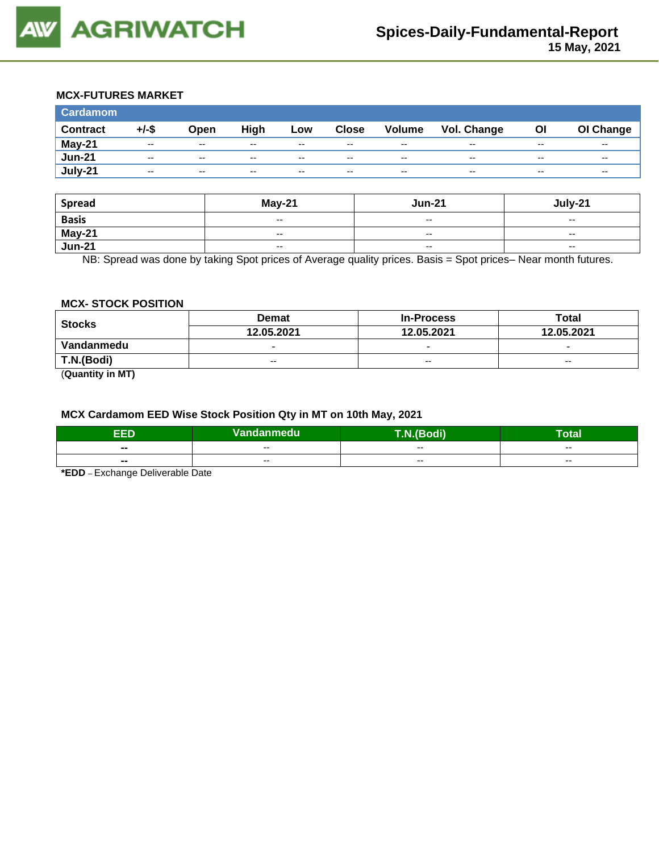

## **MCX-FUTURES MARKET**

| <b>Cardamom</b> |          |       |       |       |              |               |             |       |           |
|-----------------|----------|-------|-------|-------|--------------|---------------|-------------|-------|-----------|
| <b>Contract</b> | $+/-$ \$ | Open  | High  | Low   | <b>Close</b> | <b>Volume</b> | Vol. Change | OI    | OI Change |
| May-21          | $- -$    | $- -$ | --    | $- -$ | $- -$        | $- -$         | $- -$       | $- -$ | $- -$     |
| <b>Jun-21</b>   | $- -$    | $- -$ | $- -$ | $- -$ | $- -$        | $\sim$ $\sim$ | $- -$       | $- -$ | $- -$     |
| July-21         | $- -$    | $- -$ | $- -$ | $- -$ | $- -$        | $-$           | --          | $- -$ | $- -$     |

| <b>Spread</b> | $May-21$                                       | <b>Jun-21</b> | July-21                  |
|---------------|------------------------------------------------|---------------|--------------------------|
| <b>Basis</b>  | $\hspace{0.1mm}-\hspace{0.1mm}-\hspace{0.1mm}$ | $-$           | $- -$                    |
| <b>May-21</b> | $\overline{\phantom{a}}$                       | $- -$         | $- -$                    |
| $Jun-21$      | $\hspace{0.1mm}-\hspace{0.1mm}-\hspace{0.1mm}$ | $-$           | $\overline{\phantom{a}}$ |

NB: Spread was done by taking Spot prices of Average quality prices. Basis = Spot prices– Near month futures.

#### **MCX- STOCK POSITION**

| <b>Stocks</b>                     | <b>Demat</b>             | <b>In-Process</b>        | Total                    |  |
|-----------------------------------|--------------------------|--------------------------|--------------------------|--|
|                                   | 12.05.2021               | 12.05.2021               | 12.05.2021               |  |
| Vandanmedu                        | $\overline{\phantom{0}}$ | $\overline{\phantom{0}}$ | $\overline{\phantom{0}}$ |  |
| T.N.(Bodi)                        | $-$                      | $-$                      | $-$                      |  |
| $\overline{\phantom{a}}$<br>----- |                          |                          |                          |  |

(**Quantity in MT)**

#### **MCX Cardamom EED Wise Stock Position Qty in MT on 10th May, 2021**

| ccn            | Vandanmedu | <b><i><u>BOX</u></i></b> | Гоtal |
|----------------|------------|--------------------------|-------|
| $\blacksquare$ | --         | --                       | $- -$ |
| $\blacksquare$ | $- -$      | $- -$                    | $- -$ |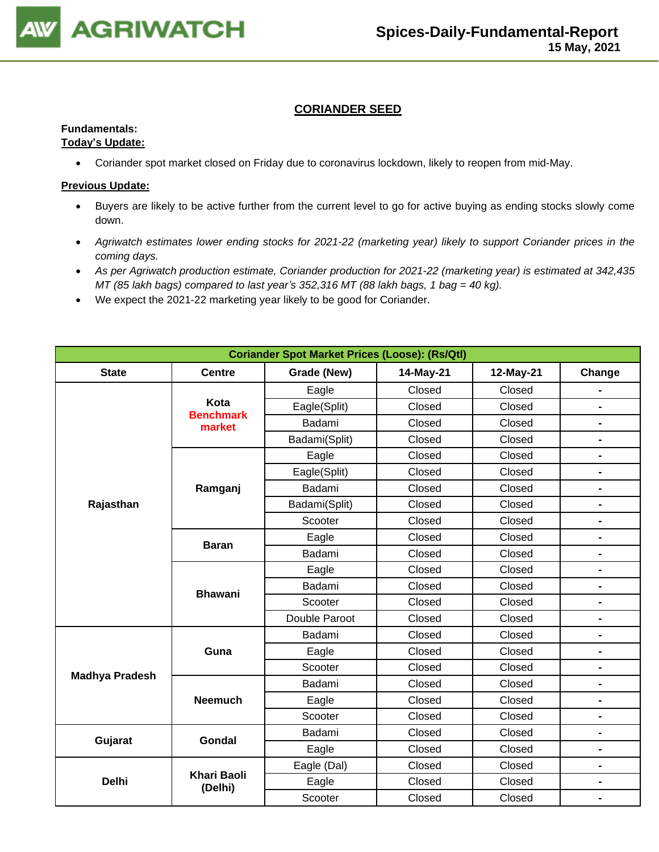

## **CORIANDER SEED**

## **Fundamentals:**

#### **Today's Update:**

• Coriander spot market closed on Friday due to coronavirus lockdown, likely to reopen from mid-May.

- Buyers are likely to be active further from the current level to go for active buying as ending stocks slowly come down.
- *Agriwatch estimates lower ending stocks for 2021-22 (marketing year) likely to support Coriander prices in the coming days.*
- *As per Agriwatch production estimate, Coriander production for 2021-22 (marketing year) is estimated at 342,435 MT (85 lakh bags) compared to last year's 352,316 MT (88 lakh bags, 1 bag = 40 kg).*
- We expect the 2021-22 marketing year likely to be good for Coriander.

| <b>Coriander Spot Market Prices (Loose): (Rs/Qtl)</b> |                               |               |           |           |                              |  |  |
|-------------------------------------------------------|-------------------------------|---------------|-----------|-----------|------------------------------|--|--|
| <b>State</b>                                          | <b>Centre</b>                 | Grade (New)   | 14-May-21 | 12-May-21 | Change                       |  |  |
|                                                       |                               | Eagle         | Closed    | Closed    |                              |  |  |
|                                                       | Kota<br><b>Benchmark</b>      | Eagle(Split)  | Closed    | Closed    | $\blacksquare$               |  |  |
|                                                       | market                        | Badami        | Closed    | Closed    | $\blacksquare$               |  |  |
|                                                       |                               | Badami(Split) | Closed    | Closed    | $\blacksquare$               |  |  |
|                                                       |                               | Eagle         | Closed    | Closed    | $\qquad \qquad \blacksquare$ |  |  |
|                                                       |                               | Eagle(Split)  | Closed    | Closed    | $\blacksquare$               |  |  |
|                                                       | Ramganj                       | Badami        | Closed    | Closed    | $\blacksquare$               |  |  |
| Rajasthan                                             |                               | Badami(Split) | Closed    | Closed    | $\blacksquare$               |  |  |
|                                                       |                               | Scooter       | Closed    | Closed    | $\blacksquare$               |  |  |
|                                                       | <b>Baran</b>                  | Eagle         | Closed    | Closed    | $\blacksquare$               |  |  |
|                                                       |                               | Badami        | Closed    | Closed    | $\blacksquare$               |  |  |
|                                                       |                               | Eagle         | Closed    | Closed    | $\blacksquare$               |  |  |
|                                                       | <b>Bhawani</b>                | Badami        | Closed    | Closed    | $\qquad \qquad \blacksquare$ |  |  |
|                                                       |                               | Scooter       | Closed    | Closed    | $\blacksquare$               |  |  |
|                                                       |                               | Double Paroot | Closed    | Closed    | $\blacksquare$               |  |  |
|                                                       |                               | Badami        | Closed    | Closed    | $\blacksquare$               |  |  |
|                                                       | Guna                          | Eagle         | Closed    | Closed    | -                            |  |  |
| <b>Madhya Pradesh</b>                                 |                               | Scooter       | Closed    | Closed    | $\blacksquare$               |  |  |
|                                                       |                               | Badami        | Closed    | Closed    | $\blacksquare$               |  |  |
|                                                       | <b>Neemuch</b>                | Eagle         | Closed    | Closed    | $\blacksquare$               |  |  |
|                                                       |                               | Scooter       | Closed    | Closed    | $\blacksquare$               |  |  |
| Gujarat                                               | Gondal                        | Badami        | Closed    | Closed    | $\blacksquare$               |  |  |
|                                                       |                               | Eagle         | Closed    | Closed    | $\qquad \qquad \blacksquare$ |  |  |
|                                                       |                               | Eagle (Dal)   | Closed    | Closed    | $\blacksquare$               |  |  |
| <b>Delhi</b>                                          | <b>Khari Baoli</b><br>(Delhi) | Eagle         | Closed    | Closed    | -                            |  |  |
|                                                       |                               | Scooter       | Closed    | Closed    | $\blacksquare$               |  |  |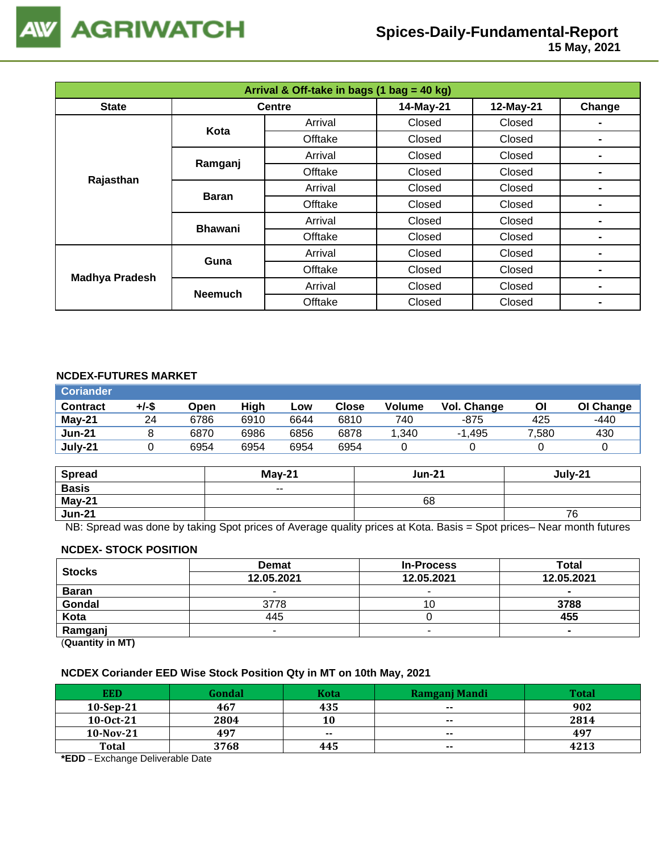

 **15 May, 2021**

| Arrival & Off-take in bags (1 bag = 40 kg) |                |               |           |           |                |  |  |
|--------------------------------------------|----------------|---------------|-----------|-----------|----------------|--|--|
| <b>State</b>                               |                | <b>Centre</b> | 14-May-21 | 12-May-21 | Change         |  |  |
|                                            | Kota           | Arrival       | Closed    | Closed    |                |  |  |
|                                            |                | Offtake       | Closed    | Closed    |                |  |  |
|                                            | Ramganj        | Arrival       | Closed    | Closed    |                |  |  |
| Rajasthan                                  |                | Offtake       | Closed    | Closed    |                |  |  |
|                                            |                | Arrival       | Closed    | Closed    |                |  |  |
|                                            | <b>Baran</b>   | Offtake       | Closed    | Closed    |                |  |  |
|                                            | <b>Bhawani</b> | Arrival       | Closed    | Closed    |                |  |  |
|                                            |                | Offtake       | Closed    | Closed    |                |  |  |
| <b>Madhya Pradesh</b>                      | Guna           | Arrival       | Closed    | Closed    |                |  |  |
|                                            |                | Offtake       | Closed    | Closed    | $\blacksquare$ |  |  |
|                                            |                | Arrival       | Closed    | Closed    | $\blacksquare$ |  |  |
|                                            | <b>Neemuch</b> | Offtake       | Closed    | Closed    |                |  |  |

#### **NCDEX-FUTURES MARKET**

| <b>Coriander</b> |       |      |      |      |       |        |             |       |           |
|------------------|-------|------|------|------|-------|--------|-------------|-------|-----------|
| <b>Contract</b>  | +/-\$ | Open | High | Low  | Close | Volume | Vol. Change | ΟI    | OI Change |
| May-21           | 24    | 6786 | 6910 | 6644 | 6810  | 740    | $-875$      | 425   | -440      |
| <b>Jun-21</b>    |       | 6870 | 6986 | 6856 | 6878  | 1,340  | $-1.495$    | 7.580 | 430       |
| July-21          |       | 6954 | 6954 | 6954 | 6954  |        |             |       |           |

| <b>Spread</b> | $May-21$                 | <b>Jun-21</b> | July-21 |
|---------------|--------------------------|---------------|---------|
| <b>Basis</b>  | $\overline{\phantom{a}}$ |               |         |
| May-21        |                          | 68            |         |
| <b>Jun-21</b> |                          |               | 76      |

NB: Spread was done by taking Spot prices of Average quality prices at Kota. Basis = Spot prices– Near month futures

#### **NCDEX- STOCK POSITION**

| <b>Stocks</b>                                                   | <b>Demat</b> | <b>In-Process</b> | Total          |
|-----------------------------------------------------------------|--------------|-------------------|----------------|
|                                                                 | 12.05.2021   | 12.05.2021        | 12.05.2021     |
| <b>Baran</b>                                                    |              | -                 | -              |
| Gondal                                                          | 3778         | ιU                | 3788           |
| Kota                                                            | 445          |                   | 455            |
| Ramganj                                                         | -            |                   | $\blacksquare$ |
| $\mathbf{r}$ and $\mathbf{r}$ and $\mathbf{r}$ and $\mathbf{r}$ |              |                   |                |

(**Quantity in MT)**

## **NCDEX Coriander EED Wise Stock Position Qty in MT on 10th May, 2021**

| <b>EED</b>   | Gondal | Kota  | Ramganj Mandi | <b>Total</b> |
|--------------|--------|-------|---------------|--------------|
| $10-Sep-21$  | 467    | 435   | $- -$         | 902          |
| $10-0ct-21$  | 2804   | 10    | $\sim$        | 2814         |
| $10$ -Nov-21 | 497    | $- -$ | $- -$         | 497          |
| <b>Total</b> | 3768   | 445   | $- -$         | 4213         |